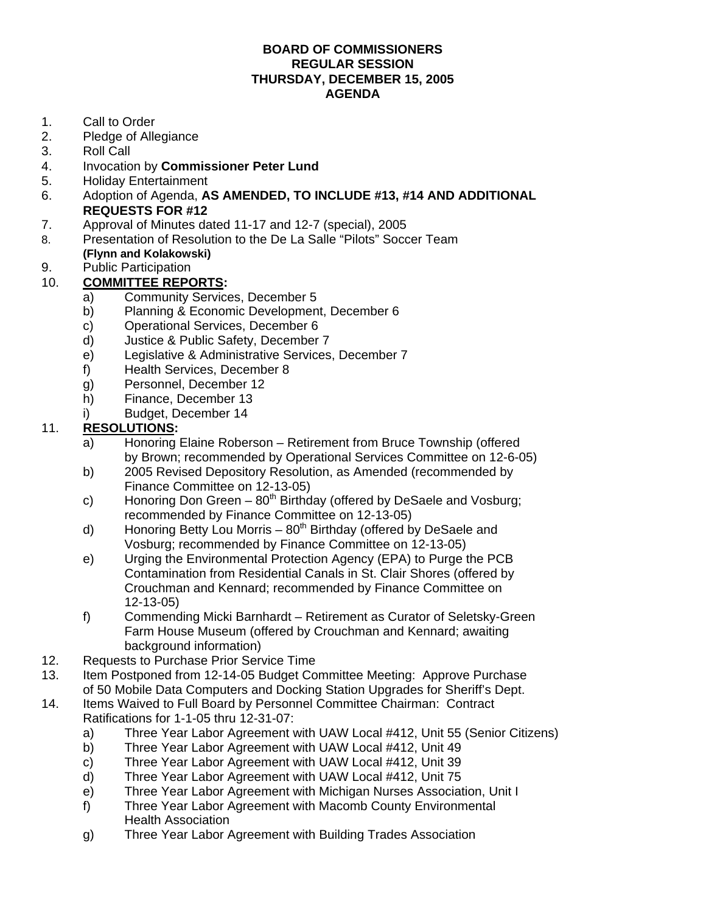## **BOARD OF COMMISSIONERS REGULAR SESSION THURSDAY, DECEMBER 15, 2005 AGENDA**

- 1. Call to Order
- 2. Pledge of Allegiance
- 3. Roll Call
- 4. Invocation by **Commissioner Peter Lund**
- 5. Holiday Entertainment
- 6. Adoption of Agenda, **AS AMENDED, TO INCLUDE #13, #14 AND ADDITIONAL REQUESTS FOR #12**
- 7. Approval of Minutes dated 11-17 and 12-7 (special), 2005
- 8. Presentation of Resolution to the De La Salle "Pilots" Soccer Team **(Flynn and Kolakowski)**
- 9. Public Participation

## 10. **COMMITTEE REPORTS:**

- a) Community Services, December 5
	- b) Planning & Economic Development, December 6
	- c) Operational Services, December 6
	- d) Justice & Public Safety, December 7
	- e) Legislative & Administrative Services, December 7
	- f) Health Services, December 8
	- g) Personnel, December 12
	- h) Finance, December 13
	- i) Budget, December 14

## 11. **RESOLUTIONS:**

- a) Honoring Elaine Roberson Retirement from Bruce Township (offered by Brown; recommended by Operational Services Committee on 12-6-05)
- b) 2005 Revised Depository Resolution, as Amended (recommended by Finance Committee on 12-13-05)
- c) Honoring Don Green  $-80^{th}$  Birthday (offered by DeSaele and Vosburg; recommended by Finance Committee on 12-13-05)
- d) Honoring Betty Lou Morris  $80^{th}$  Birthday (offered by DeSaele and Vosburg; recommended by Finance Committee on 12-13-05)
- e) Urging the Environmental Protection Agency (EPA) to Purge the PCB Contamination from Residential Canals in St. Clair Shores (offered by Crouchman and Kennard; recommended by Finance Committee on 12-13-05)
- f) Commending Micki Barnhardt Retirement as Curator of Seletsky-Green Farm House Museum (offered by Crouchman and Kennard; awaiting background information)
- 12. Requests to Purchase Prior Service Time
- 13. Item Postponed from 12-14-05 Budget Committee Meeting: Approve Purchase of 50 Mobile Data Computers and Docking Station Upgrades for Sheriff's Dept.
- 14. Items Waived to Full Board by Personnel Committee Chairman: Contract Ratifications for 1-1-05 thru 12-31-07:
	- a) Three Year Labor Agreement with UAW Local #412, Unit 55 (Senior Citizens)
	- b) Three Year Labor Agreement with UAW Local #412, Unit 49
	- c) Three Year Labor Agreement with UAW Local #412, Unit 39
	- d) Three Year Labor Agreement with UAW Local #412, Unit 75
	- e) Three Year Labor Agreement with Michigan Nurses Association, Unit I
	- f) Three Year Labor Agreement with Macomb County Environmental Health Association
	- g) Three Year Labor Agreement with Building Trades Association